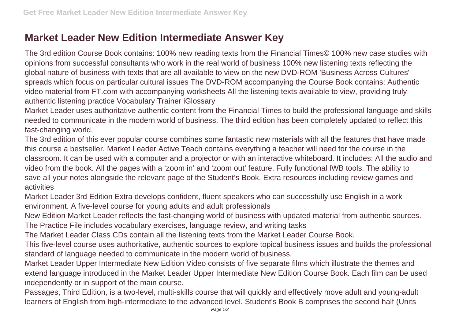## **Market Leader New Edition Intermediate Answer Key**

The 3rd edition Course Book contains: 100% new reading texts from the Financial Times© 100% new case studies with opinions from successful consultants who work in the real world of business 100% new listening texts reflecting the global nature of business with texts that are all available to view on the new DVD-ROM 'Business Across Cultures' spreads which focus on particular cultural issues The DVD-ROM accompanying the Course Book contains: Authentic video material from FT.com with accompanying worksheets All the listening texts available to view, providing truly authentic listening practice Vocabulary Trainer iGlossary

Market Leader uses authoritative authentic content from the Financial Times to build the professional language and skills needed to communicate in the modern world of business. The third edition has been completely updated to reflect this fast-changing world.

The 3rd edition of this ever popular course combines some fantastic new materials with all the features that have made this course a bestseller. Market Leader Active Teach contains everything a teacher will need for the course in the classroom. It can be used with a computer and a projector or with an interactive whiteboard. It includes: All the audio and video from the book. All the pages with a 'zoom in' and 'zoom out' feature. Fully functional IWB tools. The ability to save all your notes alongside the relevant page of the Student's Book. Extra resources including review games and activities

Market Leader 3rd Edition Extra develops confident, fluent speakers who can successfully use English in a work environment. A five-level course for young adults and adult professionals

New Edition Market Leader reflects the fast-changing world of business with updated material from authentic sources. The Practice File includes vocabulary exercises, language review, and writing tasks

The Market Leader Class CDs contain all the listening texts from the Market Leader Course Book.

This five-level course uses authoritative, authentic sources to explore topical business issues and builds the professional standard of language needed to communicate in the modern world of business.

Market Leader Upper Intermediate New Edition Video consists of five separate films which illustrate the themes and extend language introduced in the Market Leader Upper Intermediate New Edition Course Book. Each film can be used independently or in support of the main course.

Passages, Third Edition, is a two-level, multi-skills course that will quickly and effectively move adult and young-adult learners of English from high-intermediate to the advanced level. Student's Book B comprises the second half (Units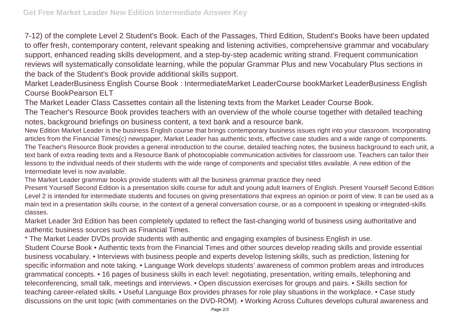7-12) of the complete Level 2 Student's Book. Each of the Passages, Third Edition, Student's Books have been updated to offer fresh, contemporary content, relevant speaking and listening activities, comprehensive grammar and vocabulary support, enhanced reading skills development, and a step-by-step academic writing strand. Frequent communication reviews will systematically consolidate learning, while the popular Grammar Plus and new Vocabulary Plus sections in the back of the Student's Book provide additional skills support.

Market LeaderBusiness English Course Book : IntermediateMarket LeaderCourse bookMarket LeaderBusiness English Course BookPearson ELT

The Market Leader Class Cassettes contain all the listening texts from the Market Leader Course Book.

The Teacher's Resource Book provides teachers with an overview of the whole course together with detailed teaching notes, background briefings on business content, a text bank and a resource bank.

New Edition Market Leader is the business English course that brings contemporary business issues right into your classroom. Incorporating articles from the Financial Times(c) newspaper, Market Leader has authentic texts, effective case studies and a wide range of components. The Teacher's Resource Book provides a general introduction to the course, detailed teaching notes, the business background to each unit, a text bank of extra reading texts and a Resource Bank of photocopiable communication activities for classroom use. Teachers can tailor their lessons to the individual needs of their students with the wide range of components and specialist titles available. A new edition of the Intermediate level is now available.

The Market Leader grammar books provide students with all the business grammar practice they need

Present Yourself Second Edition is a presentation skills course for adult and young adult learners of English. Present Yourself Second Edition Level 2 is intended for intermediate students and focuses on giving presentations that express an opinion or point of view. It can be used as a main text in a presentation skills course, in the context of a general conversation course, or as a component in speaking or integrated-skills classes.

Market Leader 3rd Edition has been completely updated to reflect the fast-changing world of business using authoritative and authentic business sources such as Financial Times.

\* The Market Leader DVDs provide students with authentic and engaging examples of business English in use. Student Course Book • Authentic texts from the Financial Times and other sources develop reading skills and provide essential business vocabulary. • Interviews with business people and experts develop listening skills, such as prediction, listening for specific information and note taking. • Language Work develops students' awareness of common problem areas and introduces grammatical concepts. • 16 pages of business skills in each level: negotiating, presentation, writing emails, telephoning and teleconferencing, small talk, meetings and interviews. • Open discussion exercises for groups and pairs. • Skills section for teaching career-related skills. • Useful Language Box provides phrases for role play situations in the workplace. • Case study discussions on the unit topic (with commentaries on the DVD-ROM). • Working Across Cultures develops cultural awareness and